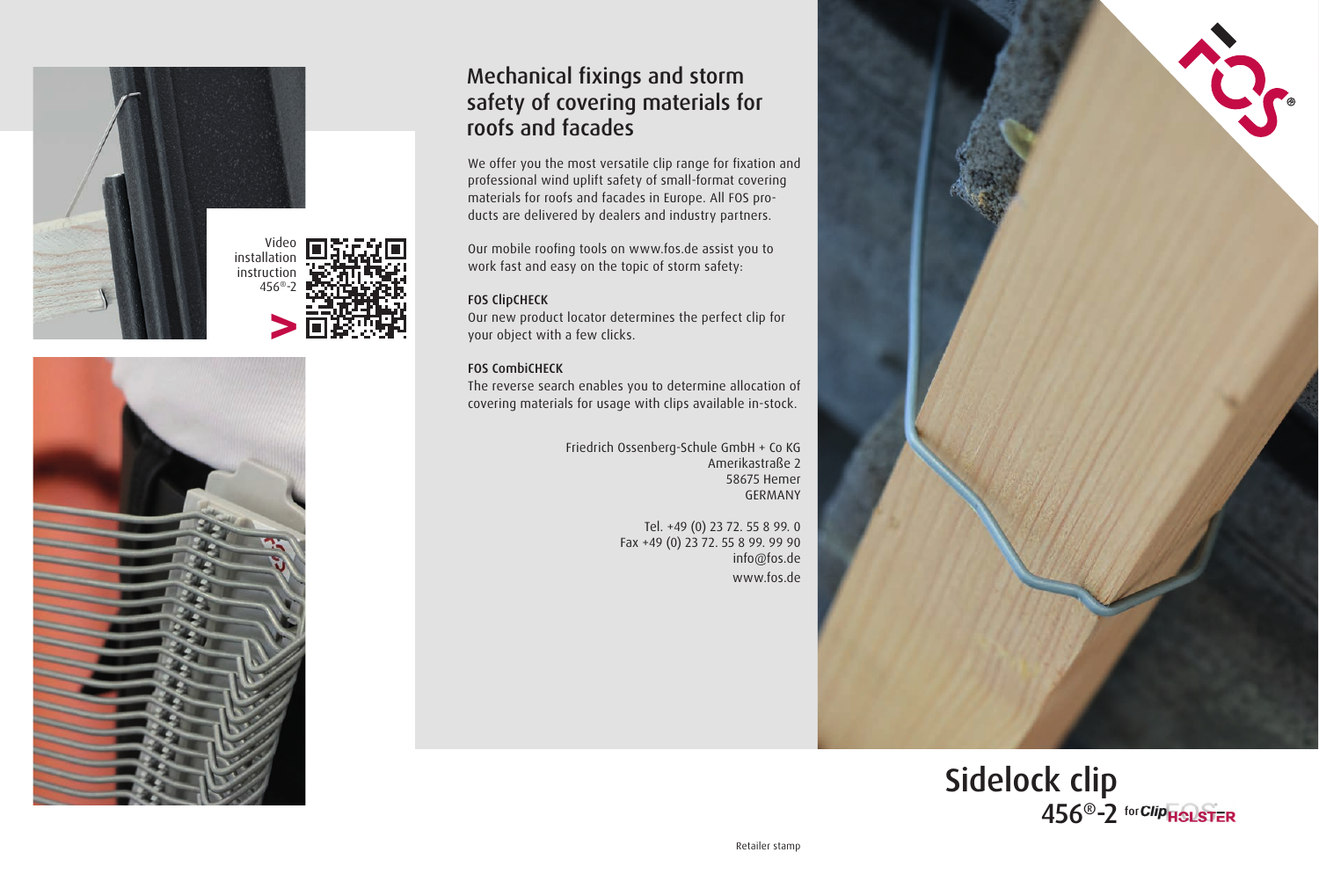



## Mechanical fixings and storm safety of covering materials for roofs and facades

We offer you the most versatile clip range for fixation and professional wind uplift safety of small-format covering materials for roofs and facades in Europe. All FOS products are delivered by dealers and industry partners.

Our mobile roofing tools on www.fos.de assist you to work fast and easy on the topic of storm safety:

## FOS ClipCHECK

Our new product locator determines the perfect clip for your object with a few clicks.

## FOS CombiCHECK

The reverse search enables you to determine allocation of covering materials for usage with clips available in-stock.

> Friedrich Ossenberg-Schule GmbH + Co KG Amerikastraße 2 58675 Hemer GERMANY

> > Tel. +49 (0) 23 72. 55 8 99. 0 Fax +49 (0) 23 72. 55 8 99. 99 90 info@fos.de www.fos.de



Sidelock clip 456<sup>®</sup>-2 for Clip<sub>HOLSTER</sub>